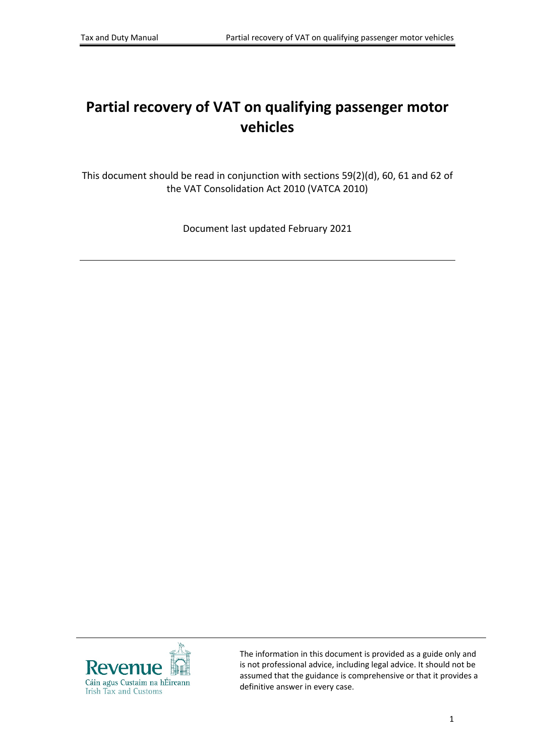# **Partial recovery of VAT on qualifying passenger motor vehicles**

This document should be read in conjunction with sections 59(2)(d), 60, 61 and 62 of the VAT Consolidation Act 2010 (VATCA 2010)

Document last updated February 2021



The information in this document is provided as a guide only and is not professional advice, including legal advice. It should not be assumed that the guidance is comprehensive or that it provides a definitive answer in every case.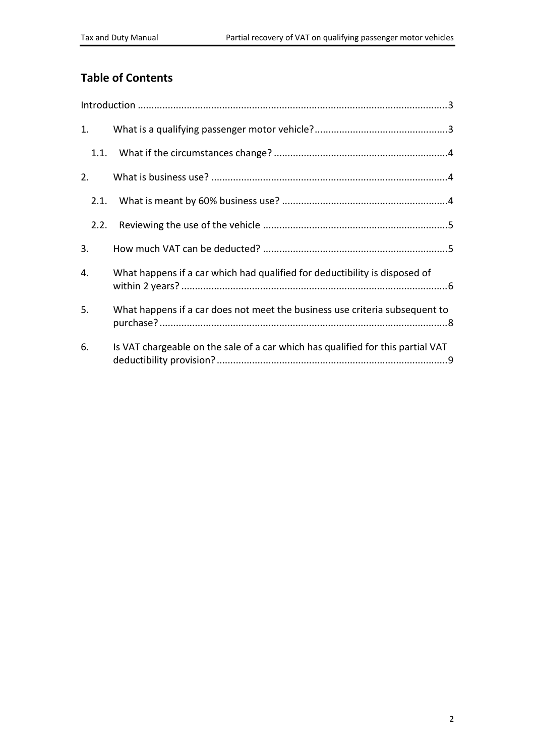# **Table of Contents**

| 1.   |                                                                                 |  |
|------|---------------------------------------------------------------------------------|--|
|      |                                                                                 |  |
| 2.   |                                                                                 |  |
| 2.1. |                                                                                 |  |
| 2.2. |                                                                                 |  |
| 3.   |                                                                                 |  |
| 4.   | What happens if a car which had qualified for deductibility is disposed of      |  |
| 5.   | What happens if a car does not meet the business use criteria subsequent to     |  |
| 6.   | Is VAT chargeable on the sale of a car which has qualified for this partial VAT |  |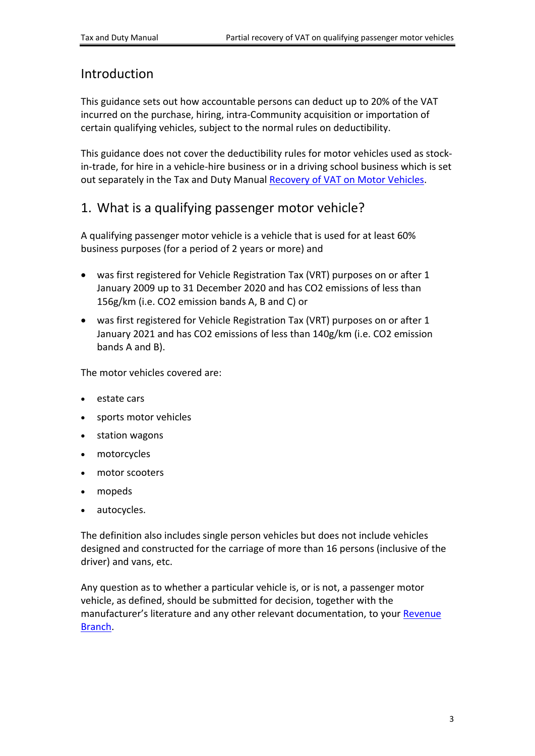## <span id="page-2-0"></span>Introduction

This guidance sets out how accountable persons can deduct up to 20% of the VAT incurred on the purchase, hiring, intra-Community acquisition or importation of certain qualifying vehicles, subject to the normal rules on deductibility.

This guidance does not cover the deductibility rules for motor vehicles used as stockin-trade, for hire in a vehicle-hire business or in a driving school business which is set out separately in the Tax and Duty Manual [Recovery](https://www.revenue.ie/en/tax-professionals/tdm/value-added-tax/part03-taxable-transactions-goods-ica-services/Goods/recovery-of-vat-on-motor-vehicles.pdf) [of](https://www.revenue.ie/en/tax-professionals/tdm/value-added-tax/part03-taxable-transactions-goods-ica-services/Goods/recovery-of-vat-on-motor-vehicles.pdf) [VAT](https://www.revenue.ie/en/tax-professionals/tdm/value-added-tax/part03-taxable-transactions-goods-ica-services/Goods/recovery-of-vat-on-motor-vehicles.pdf) [on](https://www.revenue.ie/en/tax-professionals/tdm/value-added-tax/part03-taxable-transactions-goods-ica-services/Goods/recovery-of-vat-on-motor-vehicles.pdf) [Motor](https://www.revenue.ie/en/tax-professionals/tdm/value-added-tax/part03-taxable-transactions-goods-ica-services/Goods/recovery-of-vat-on-motor-vehicles.pdf) [Vehicles](https://www.revenue.ie/en/tax-professionals/tdm/value-added-tax/part03-taxable-transactions-goods-ica-services/Goods/recovery-of-vat-on-motor-vehicles.pdf).

# <span id="page-2-1"></span>1. What is a qualifying passenger motor vehicle?

A qualifying passenger motor vehicle is a vehicle that is used for at least 60% business purposes (for a period of 2 years or more) and

- was first registered for Vehicle Registration Tax (VRT) purposes on or after 1 January 2009 up to 31 December 2020 and has CO2 emissions of less than 156g/km (i.e. CO2 emission bands A, B and C) or
- was first registered for Vehicle Registration Tax (VRT) purposes on or after 1 January 2021 and has CO2 emissions of less than 140g/km (i.e. CO2 emission bands A and B).

The motor vehicles covered are:

- estate cars
- sports motor vehicles
- station wagons
- motorcycles
- motor scooters
- mopeds
- autocycles.

The definition also includes single person vehicles but does not include vehicles designed and constructed for the carriage of more than 16 persons (inclusive of the driver) and vans, etc.

Any question as to whether a particular vehicle is, or is not, a passenger motor vehicle, as defined, should be submitted for decision, together with the manufacturer's literature and any other relevant documentation, to your [Revenue](https://www.revenue.ie/en/contact-us/index.aspx) [Branch](https://www.revenue.ie/en/contact-us/index.aspx).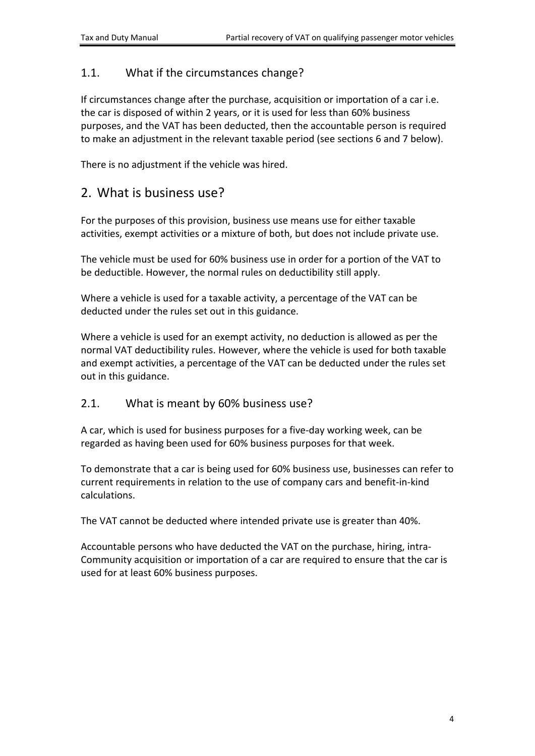### <span id="page-3-0"></span>1.1. What if the circumstances change?

If circumstances change after the purchase, acquisition or importation of a car i.e. the car is disposed of within 2 years, or it is used for less than 60% business purposes, and the VAT has been deducted, then the accountable person is required to make an adjustment in the relevant taxable period (see sections 6 and 7 below).

There is no adjustment if the vehicle was hired.

## <span id="page-3-1"></span>2. What is business use?

For the purposes of this provision, business use means use for either taxable activities, exempt activities or a mixture of both, but does not include private use.

The vehicle must be used for 60% business use in order for a portion of the VAT to be deductible. However, the normal rules on deductibility still apply.

Where a vehicle is used for a taxable activity, a percentage of the VAT can be deducted under the rules set out in this guidance.

Where a vehicle is used for an exempt activity, no deduction is allowed as per the normal VAT deductibility rules. However, where the vehicle is used for both taxable and exempt activities, a percentage of the VAT can be deducted under the rules set out in this guidance.

### <span id="page-3-2"></span>2.1. What is meant by 60% business use?

A car, which is used for business purposes for a five-day working week, can be regarded as having been used for 60% business purposes for that week.

To demonstrate that a car is being used for 60% business use, businesses can refer to current requirements in relation to the use of company cars and benefit-in-kind calculations.

The VAT cannot be deducted where intended private use is greater than 40%.

Accountable persons who have deducted the VAT on the purchase, hiring, intra-Community acquisition or importation of a car are required to ensure that the car is used for at least 60% business purposes.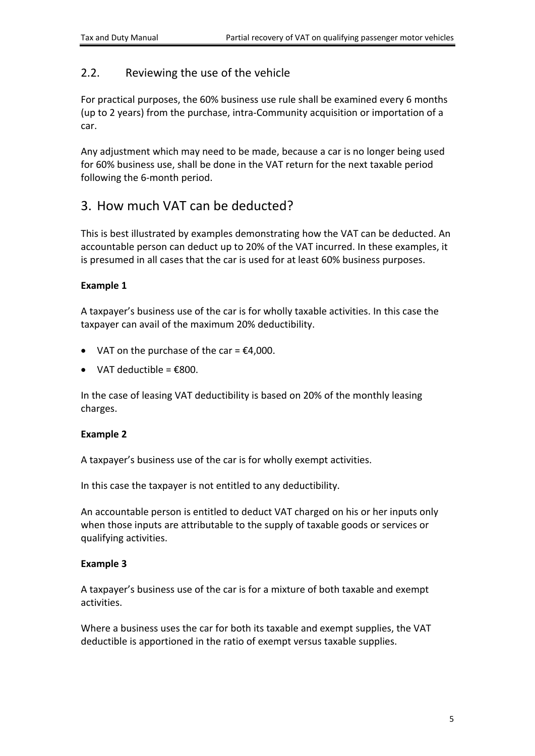### <span id="page-4-0"></span>2.2. Reviewing the use of the vehicle

For practical purposes, the 60% business use rule shall be examined every 6 months (up to 2 years) from the purchase, intra-Community acquisition or importation of a car.

Any adjustment which may need to be made, because a car is no longer being used for 60% business use, shall be done in the VAT return for the next taxable period following the 6-month period.

# <span id="page-4-1"></span>3. How much VAT can be deducted?

This is best illustrated by examples demonstrating how the VAT can be deducted. An accountable person can deduct up to 20% of the VAT incurred. In these examples, it is presumed in all cases that the car is used for at least 60% business purposes.

#### **Example 1**

A taxpayer's business use of the car is for wholly taxable activities. In this case the taxpayer can avail of the maximum 20% deductibility.

- VAT on the purchase of the car =  $£4,000$ .
- VAT deductible =  $\epsilon$ 800.

In the case of leasing VAT deductibility is based on 20% of the monthly leasing charges.

#### **Example 2**

A taxpayer's business use of the car is for wholly exempt activities.

In this case the taxpayer is not entitled to any deductibility.

An accountable person is entitled to deduct VAT charged on his or her inputs only when those inputs are attributable to the supply of taxable goods or services or qualifying activities.

#### **Example 3**

A taxpayer's business use of the car is for a mixture of both taxable and exempt activities.

Where a business uses the car for both its taxable and exempt supplies, the VAT deductible is apportioned in the ratio of exempt versus taxable supplies.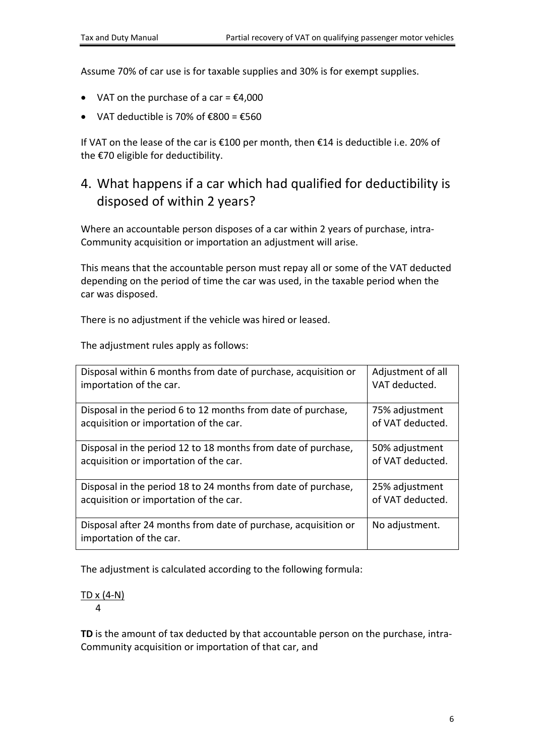Assume 70% of car use is for taxable supplies and 30% is for exempt supplies.

- VAT on the purchase of a car =  $£4,000$
- VAT deductible is 70% of  $\epsilon$ 800 =  $\epsilon$ 560

If VAT on the lease of the car is €100 per month, then €14 is deductible i.e. 20% of the €70 eligible for deductibility.

# <span id="page-5-0"></span>4. What happens if a car which had qualified for deductibility is disposed of within 2 years?

Where an accountable person disposes of a car within 2 years of purchase, intra-Community acquisition or importation an adjustment will arise.

This means that the accountable person must repay all or some of the VAT deducted depending on the period of time the car was used, in the taxable period when the car was disposed.

There is no adjustment if the vehicle was hired or leased.

The adjustment rules apply as follows:

| Disposal within 6 months from date of purchase, acquisition or                            | Adjustment of all |
|-------------------------------------------------------------------------------------------|-------------------|
| importation of the car.                                                                   | VAT deducted.     |
| Disposal in the period 6 to 12 months from date of purchase,                              | 75% adjustment    |
| acquisition or importation of the car.                                                    | of VAT deducted.  |
| Disposal in the period 12 to 18 months from date of purchase,                             | 50% adjustment    |
| acquisition or importation of the car.                                                    | of VAT deducted.  |
| Disposal in the period 18 to 24 months from date of purchase,                             | 25% adjustment    |
| acquisition or importation of the car.                                                    | of VAT deducted.  |
| Disposal after 24 months from date of purchase, acquisition or<br>importation of the car. | No adjustment.    |

The adjustment is calculated according to the following formula:

# TD x (4-N)

4

**TD** is the amount of tax deducted by that accountable person on the purchase, intra-Community acquisition or importation of that car, and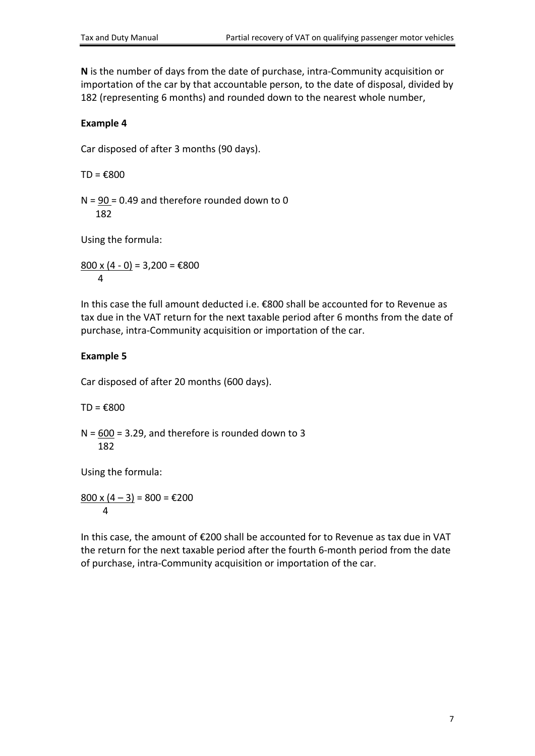**N** is the number of days from the date of purchase, intra-Community acquisition or importation of the car by that accountable person, to the date of disposal, divided by 182 (representing 6 months) and rounded down to the nearest whole number,

#### **Example 4**

Car disposed of after 3 months (90 days).

 $TD = \epsilon 800$ 

 $N = 90 = 0.49$  and therefore rounded down to 0 182

Using the formula:

800 x  $(4 - 0) = 3,200 = \text{\textsterling}800$ 4

In this case the full amount deducted i.e. €800 shall be accounted for to Revenue as tax due in the VAT return for the next taxable period after 6 months from the date of purchase, intra-Community acquisition or importation of the car.

### **Example 5**

Car disposed of after 20 months (600 days).

 $TD = \epsilon 800$ 

 $N = 600 = 3.29$ , and therefore is rounded down to 3 182

Using the formula:

 $800 \times (4 - 3) = 800 = \text{\textsterling}200$ 4

In this case, the amount of €200 shall be accounted for to Revenue as tax due in VAT the return for the next taxable period after the fourth 6-month period from the date of purchase, intra-Community acquisition or importation of the car.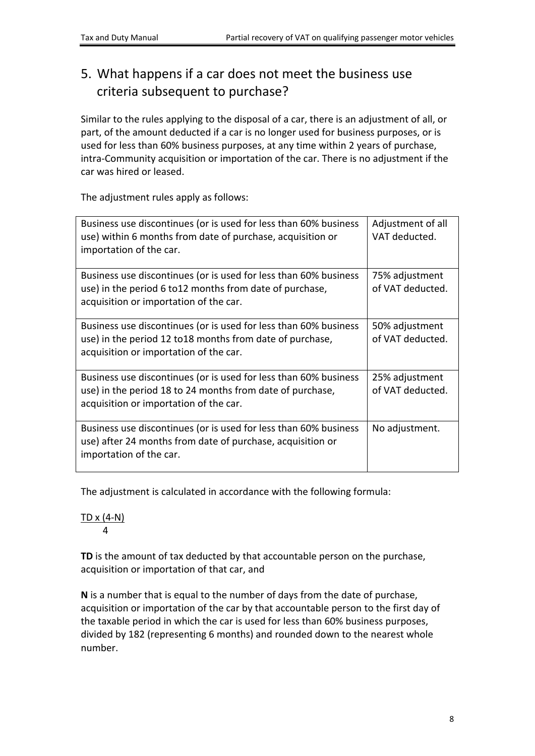# <span id="page-7-0"></span>5. What happens if a car does not meet the business use criteria subsequent to purchase?

Similar to the rules applying to the disposal of a car, there is an adjustment of all, or part, of the amount deducted if a car is no longer used for business purposes, or is used for less than 60% business purposes, at any time within 2 years of purchase, intra-Community acquisition or importation of the car. There is no adjustment if the car was hired or leased.

The adjustment rules apply as follows:

| Business use discontinues (or is used for less than 60% business<br>use) within 6 months from date of purchase, acquisition or<br>importation of the car.               | Adjustment of all<br>VAT deducted. |
|-------------------------------------------------------------------------------------------------------------------------------------------------------------------------|------------------------------------|
| Business use discontinues (or is used for less than 60% business<br>use) in the period 6 to12 months from date of purchase,<br>acquisition or importation of the car.   | 75% adjustment<br>of VAT deducted. |
| Business use discontinues (or is used for less than 60% business<br>use) in the period 12 to 18 months from date of purchase,<br>acquisition or importation of the car. | 50% adjustment<br>of VAT deducted. |
| Business use discontinues (or is used for less than 60% business<br>use) in the period 18 to 24 months from date of purchase,<br>acquisition or importation of the car. | 25% adjustment<br>of VAT deducted. |
| Business use discontinues (or is used for less than 60% business<br>use) after 24 months from date of purchase, acquisition or<br>importation of the car.               | No adjustment.                     |

The adjustment is calculated in accordance with the following formula:

#### TD x (4-N) 4

**TD** is the amount of tax deducted by that accountable person on the purchase, acquisition or importation of that car, and

**N** is a number that is equal to the number of days from the date of purchase, acquisition or importation of the car by that accountable person to the first day of the taxable period in which the car is used for less than 60% business purposes, divided by 182 (representing 6 months) and rounded down to the nearest whole number.